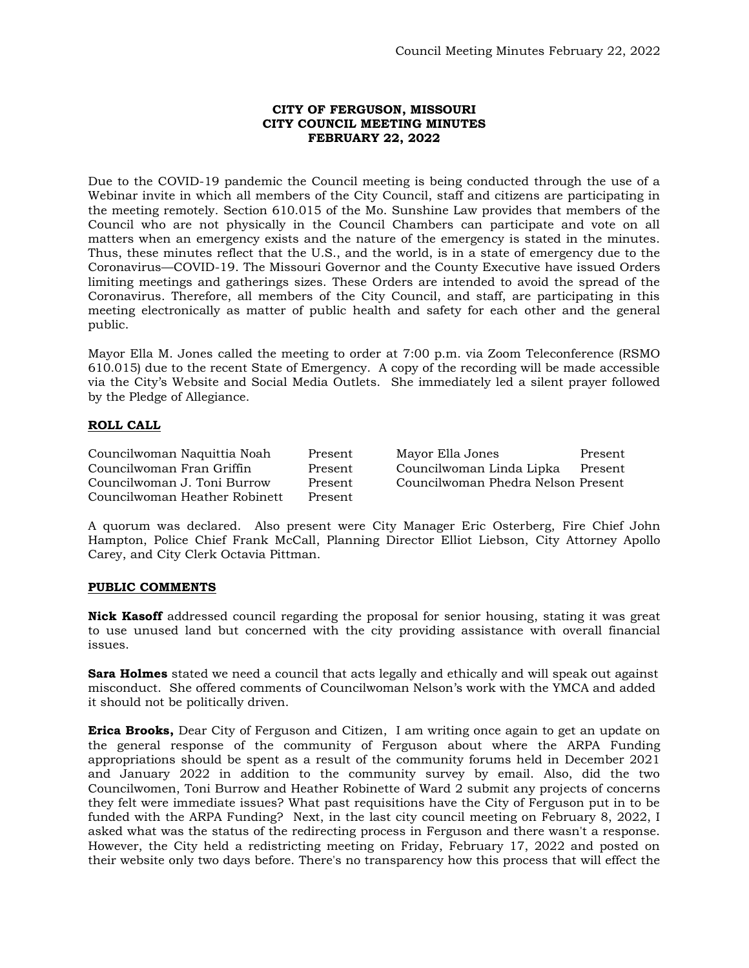### **CITY OF FERGUSON, MISSOURI CITY COUNCIL MEETING MINUTES FEBRUARY 22, 2022**

Due to the COVID-19 pandemic the Council meeting is being conducted through the use of a Webinar invite in which all members of the City Council, staff and citizens are participating in the meeting remotely. Section 610.015 of the Mo. Sunshine Law provides that members of the Council who are not physically in the Council Chambers can participate and vote on all matters when an emergency exists and the nature of the emergency is stated in the minutes. Thus, these minutes reflect that the U.S., and the world, is in a state of emergency due to the Coronavirus—COVID-19. The Missouri Governor and the County Executive have issued Orders limiting meetings and gatherings sizes. These Orders are intended to avoid the spread of the Coronavirus. Therefore, all members of the City Council, and staff, are participating in this meeting electronically as matter of public health and safety for each other and the general public.

Mayor Ella M. Jones called the meeting to order at 7:00 p.m. via Zoom Teleconference (RSMO 610.015) due to the recent State of Emergency. A copy of the recording will be made accessible via the City's Website and Social Media Outlets. She immediately led a silent prayer followed by the Pledge of Allegiance.

# **ROLL CALL**

Councilwoman Naquittia Noah Present Mayor Ella Jones Present Councilwoman Fran Griffin Present Councilwoman Linda Lipka Present Councilwoman J. Toni Burrow Present Councilwoman Phedra Nelson Present Councilwoman Heather Robinett Present

A quorum was declared. Also present were City Manager Eric Osterberg, Fire Chief John Hampton, Police Chief Frank McCall, Planning Director Elliot Liebson, City Attorney Apollo Carey, and City Clerk Octavia Pittman.

#### **PUBLIC COMMENTS**

**Nick Kasoff** addressed council regarding the proposal for senior housing, stating it was great to use unused land but concerned with the city providing assistance with overall financial issues.

**Sara Holmes** stated we need a council that acts legally and ethically and will speak out against misconduct. She offered comments of Councilwoman Nelson's work with the YMCA and added it should not be politically driven.

**Erica Brooks,** Dear City of Ferguson and Citizen, I am writing once again to get an update on the general response of the community of Ferguson about where the ARPA Funding appropriations should be spent as a result of the community forums held in December 2021 and January 2022 in addition to the community survey by email. Also, did the two Councilwomen, Toni Burrow and Heather Robinette of Ward 2 submit any projects of concerns they felt were immediate issues? What past requisitions have the City of Ferguson put in to be funded with the ARPA Funding? Next, in the last city council meeting on February 8, 2022, I asked what was the status of the redirecting process in Ferguson and there wasn't a response. However, the City held a redistricting meeting on Friday, February 17, 2022 and posted on their website only two days before. There's no transparency how this process that will effect the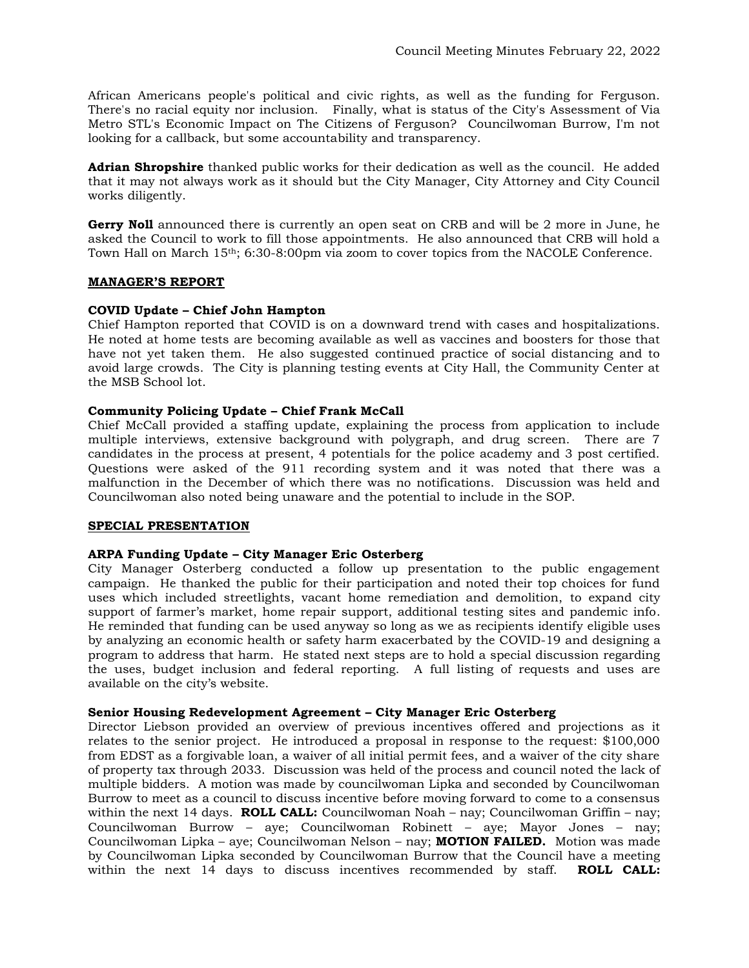African Americans people's political and civic rights, as well as the funding for Ferguson. There's no racial equity nor inclusion. Finally, what is status of the City's Assessment of Via Metro STL's Economic Impact on The Citizens of Ferguson? Councilwoman Burrow, I'm not looking for a callback, but some accountability and transparency.

**Adrian Shropshire** thanked public works for their dedication as well as the council. He added that it may not always work as it should but the City Manager, City Attorney and City Council works diligently.

**Gerry Noll** announced there is currently an open seat on CRB and will be 2 more in June, he asked the Council to work to fill those appointments. He also announced that CRB will hold a Town Hall on March 15th; 6:30-8:00pm via zoom to cover topics from the NACOLE Conference.

## **MANAGER'S REPORT**

## **COVID Update – Chief John Hampton**

Chief Hampton reported that COVID is on a downward trend with cases and hospitalizations. He noted at home tests are becoming available as well as vaccines and boosters for those that have not yet taken them. He also suggested continued practice of social distancing and to avoid large crowds. The City is planning testing events at City Hall, the Community Center at the MSB School lot.

## **Community Policing Update – Chief Frank McCall**

Chief McCall provided a staffing update, explaining the process from application to include multiple interviews, extensive background with polygraph, and drug screen. There are 7 candidates in the process at present, 4 potentials for the police academy and 3 post certified. Questions were asked of the 911 recording system and it was noted that there was a malfunction in the December of which there was no notifications. Discussion was held and Councilwoman also noted being unaware and the potential to include in the SOP.

#### **SPECIAL PRESENTATION**

#### **ARPA Funding Update – City Manager Eric Osterberg**

City Manager Osterberg conducted a follow up presentation to the public engagement campaign. He thanked the public for their participation and noted their top choices for fund uses which included streetlights, vacant home remediation and demolition, to expand city support of farmer's market, home repair support, additional testing sites and pandemic info. He reminded that funding can be used anyway so long as we as recipients identify eligible uses by analyzing an economic health or safety harm exacerbated by the COVID-19 and designing a program to address that harm. He stated next steps are to hold a special discussion regarding the uses, budget inclusion and federal reporting. A full listing of requests and uses are available on the city's website.

#### **Senior Housing Redevelopment Agreement – City Manager Eric Osterberg**

Director Liebson provided an overview of previous incentives offered and projections as it relates to the senior project. He introduced a proposal in response to the request: \$100,000 from EDST as a forgivable loan, a waiver of all initial permit fees, and a waiver of the city share of property tax through 2033. Discussion was held of the process and council noted the lack of multiple bidders. A motion was made by councilwoman Lipka and seconded by Councilwoman Burrow to meet as a council to discuss incentive before moving forward to come to a consensus within the next 14 days. **ROLL CALL:** Councilwoman Noah – nay; Councilwoman Griffin – nay; Councilwoman Burrow – aye; Councilwoman Robinett – aye; Mayor Jones – nay; Councilwoman Lipka – aye; Councilwoman Nelson – nay; **MOTION FAILED.** Motion was made by Councilwoman Lipka seconded by Councilwoman Burrow that the Council have a meeting within the next 14 days to discuss incentives recommended by staff. **ROLL CALL:**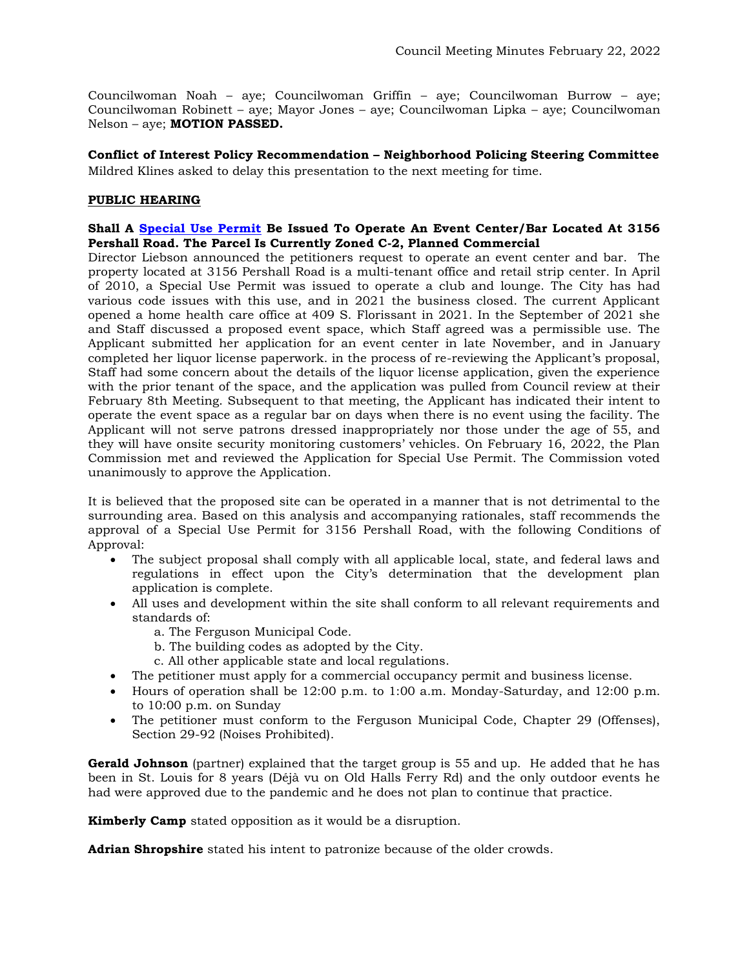Councilwoman Noah – aye; Councilwoman Griffin – aye; Councilwoman Burrow – aye; Councilwoman Robinett – aye; Mayor Jones – aye; Councilwoman Lipka – aye; Councilwoman Nelson – aye; **MOTION PASSED.** 

**Conflict of Interest Policy Recommendation – Neighborhood Policing Steering Committee**  Mildred Klines asked to delay this presentation to the next meeting for time.

## **PUBLIC HEARING**

## **Shall A [Special Use Permit](https://www.fergusoncity.com/DocumentCenter/View/5610/3156-pershall-road-public-hearing-notice-for-02-22-2022-council-hearing) Be Issued To Operate An Event Center/Bar Located At 3156 Pershall Road. The Parcel Is Currently Zoned C-2, Planned Commercial**

Director Liebson announced the petitioners request to operate an event center and bar. The property located at 3156 Pershall Road is a multi-tenant office and retail strip center. In April of 2010, a Special Use Permit was issued to operate a club and lounge. The City has had various code issues with this use, and in 2021 the business closed. The current Applicant opened a home health care office at 409 S. Florissant in 2021. In the September of 2021 she and Staff discussed a proposed event space, which Staff agreed was a permissible use. The Applicant submitted her application for an event center in late November, and in January completed her liquor license paperwork. in the process of re-reviewing the Applicant's proposal, Staff had some concern about the details of the liquor license application, given the experience with the prior tenant of the space, and the application was pulled from Council review at their February 8th Meeting. Subsequent to that meeting, the Applicant has indicated their intent to operate the event space as a regular bar on days when there is no event using the facility. The Applicant will not serve patrons dressed inappropriately nor those under the age of 55, and they will have onsite security monitoring customers' vehicles. On February 16, 2022, the Plan Commission met and reviewed the Application for Special Use Permit. The Commission voted unanimously to approve the Application.

It is believed that the proposed site can be operated in a manner that is not detrimental to the surrounding area. Based on this analysis and accompanying rationales, staff recommends the approval of a Special Use Permit for 3156 Pershall Road, with the following Conditions of Approval:

- The subject proposal shall comply with all applicable local, state, and federal laws and regulations in effect upon the City's determination that the development plan application is complete.
- All uses and development within the site shall conform to all relevant requirements and standards of:
	- a. The Ferguson Municipal Code.
	- b. The building codes as adopted by the City.
	- c. All other applicable state and local regulations.
- The petitioner must apply for a commercial occupancy permit and business license.
- Hours of operation shall be  $12:00$  p.m. to  $1:00$  a.m. Monday-Saturday, and  $12:00$  p.m. to 10:00 p.m. on Sunday
- The petitioner must conform to the Ferguson Municipal Code, Chapter 29 (Offenses), Section 29-92 (Noises Prohibited).

**Gerald Johnson** (partner) explained that the target group is 55 and up. He added that he has been in St. Louis for 8 years (Déjà vu on Old Halls Ferry Rd) and the only outdoor events he had were approved due to the pandemic and he does not plan to continue that practice.

**Kimberly Camp** stated opposition as it would be a disruption.

**Adrian Shropshire** stated his intent to patronize because of the older crowds.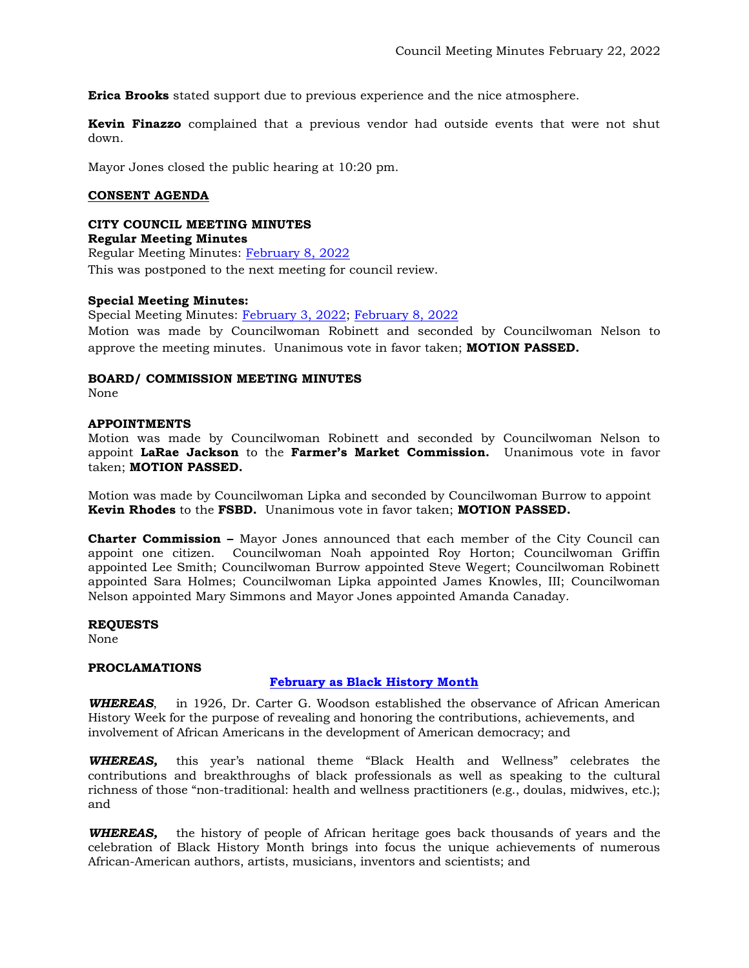**Erica Brooks** stated support due to previous experience and the nice atmosphere.

**Kevin Finazzo** complained that a previous vendor had outside events that were not shut down.

Mayor Jones closed the public hearing at 10:20 pm.

# **CONSENT AGENDA**

#### **CITY COUNCIL MEETING MINUTES Regular Meeting Minutes**

Regular Meeting Minutes: [February 8, 2022](https://www.fergusoncity.com/DocumentCenter/View/5612/Council-Meeting-Minutes-020822) This was postponed to the next meeting for council review.

# **Special Meeting Minutes:**

Special Meeting Minutes: [February 3, 2022;](https://www.fergusoncity.com/DocumentCenter/View/5613/Council-special-meeting-minutes-020322) [February 8, 2022](https://www.fergusoncity.com/DocumentCenter/View/5614/Council-special-meeting-minutes-020822)

Motion was made by Councilwoman Robinett and seconded by Councilwoman Nelson to approve the meeting minutes. Unanimous vote in favor taken; **MOTION PASSED.** 

## **BOARD/ COMMISSION MEETING MINUTES**

None

## **APPOINTMENTS**

Motion was made by Councilwoman Robinett and seconded by Councilwoman Nelson to appoint **LaRae Jackson** to the **Farmer's Market Commission.** Unanimous vote in favor taken; **MOTION PASSED.** 

Motion was made by Councilwoman Lipka and seconded by Councilwoman Burrow to appoint **Kevin Rhodes** to the **FSBD.** Unanimous vote in favor taken; **MOTION PASSED.** 

**Charter Commission –** Mayor Jones announced that each member of the City Council can appoint one citizen. Councilwoman Noah appointed Roy Horton; Councilwoman Griffin appointed Lee Smith; Councilwoman Burrow appointed Steve Wegert; Councilwoman Robinett appointed Sara Holmes; Councilwoman Lipka appointed James Knowles, III; Councilwoman Nelson appointed Mary Simmons and Mayor Jones appointed Amanda Canaday.

#### **REQUESTS**

None

#### **PROCLAMATIONS**

# **[February as Black History Month](https://www.fergusoncity.com/DocumentCenter/View/5608/PROC---2022-February-as-Black-History-Month)**

*WHEREAS*, in 1926, Dr. Carter G. Woodson established the observance of African American History Week for the purpose of revealing and honoring the contributions, achievements, and involvement of African Americans in the development of American democracy; and

*WHEREAS,* this year's national theme "Black Health and Wellness" celebrates the contributions and breakthroughs of black professionals as well as speaking to the cultural richness of those "non-traditional: health and wellness practitioners (e.g., doulas, midwives, etc.); and

*WHEREAS,* the history of people of African heritage goes back thousands of years and the celebration of Black History Month brings into focus the unique achievements of numerous African-American authors, artists, musicians, inventors and scientists; and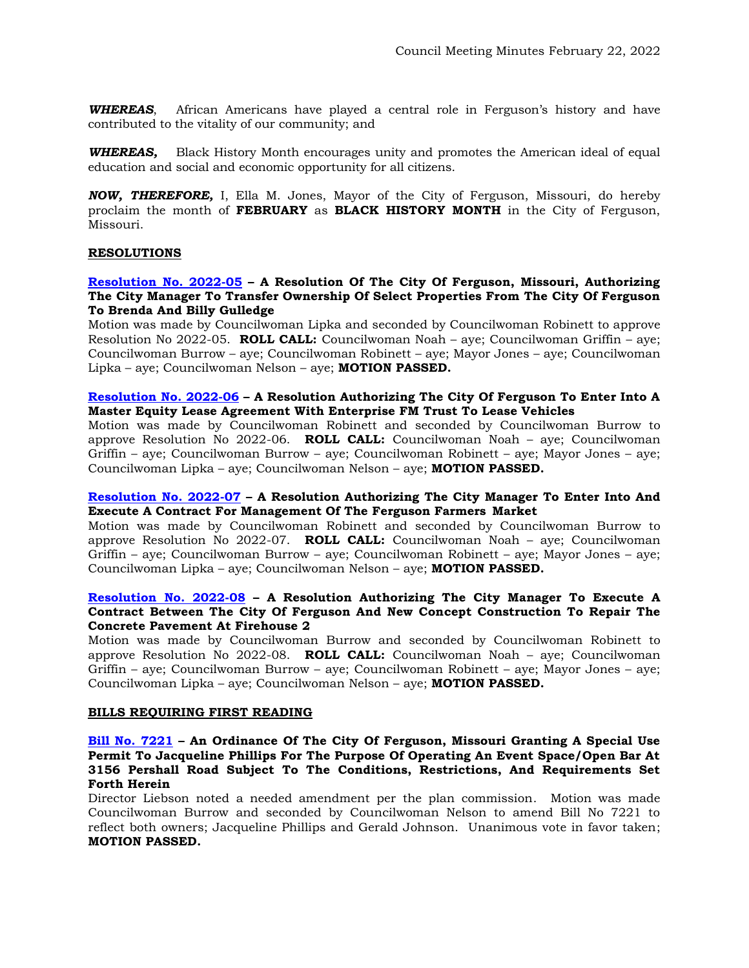*WHEREAS*, African Americans have played a central role in Ferguson's history and have contributed to the vitality of our community; and

*WHEREAS,* Black History Month encourages unity and promotes the American ideal of equal education and social and economic opportunity for all citizens.

*NOW, THEREFORE,* I, Ella M. Jones, Mayor of the City of Ferguson, Missouri, do hereby proclaim the month of **FEBRUARY** as **BLACK HISTORY MONTH** in the City of Ferguson, Missouri.

#### **RESOLUTIONS**

### **[Resolution No. 2022-05](https://www.fergusoncity.com/DocumentCenter/View/5603/Resolution-No-2022-05-ASLP-155-Adelle) – A Resolution Of The City Of Ferguson, Missouri, Authorizing The City Manager To Transfer Ownership Of Select Properties From The City Of Ferguson To Brenda And Billy Gulledge**

Motion was made by Councilwoman Lipka and seconded by Councilwoman Robinett to approve Resolution No 2022-05. **ROLL CALL:** Councilwoman Noah – aye; Councilwoman Griffin – aye; Councilwoman Burrow – aye; Councilwoman Robinett – aye; Mayor Jones – aye; Councilwoman Lipka – aye; Councilwoman Nelson – aye; **MOTION PASSED.**

#### **[Resolution No. 2022-06](https://www.fergusoncity.com/DocumentCenter/View/5604/Resolution-No-2022-06-ENTERPRISE-LEASE-AGREEMENT1) – A Resolution Authorizing The City Of Ferguson To Enter Into A Master Equity Lease Agreement With Enterprise FM Trust To Lease Vehicles**

Motion was made by Councilwoman Robinett and seconded by Councilwoman Burrow to approve Resolution No 2022-06. **ROLL CALL:** Councilwoman Noah – aye; Councilwoman Griffin – aye; Councilwoman Burrow – aye; Councilwoman Robinett – aye; Mayor Jones – aye; Councilwoman Lipka – aye; Councilwoman Nelson – aye; **MOTION PASSED.**

#### **[Resolution No. 2022-07](https://www.fergusoncity.com/DocumentCenter/View/5606/Resolution-No-2022-07-Farmers-Market) – A Resolution Authorizing The City Manager To Enter Into And Execute A Contract For Management Of The Ferguson Farmers Market**

Motion was made by Councilwoman Robinett and seconded by Councilwoman Burrow to approve Resolution No 2022-07. **ROLL CALL:** Councilwoman Noah – aye; Councilwoman Griffin – aye; Councilwoman Burrow – aye; Councilwoman Robinett – aye; Mayor Jones – aye; Councilwoman Lipka – aye; Councilwoman Nelson – aye; **MOTION PASSED.**

### **[Resolution No. 2022-08](https://www.fergusoncity.com/DocumentCenter/View/5607/Resolution-No-2202-08-new-concept-construction-firehouse-2) – A Resolution Authorizing The City Manager To Execute A Contract Between The City Of Ferguson And New Concept Construction To Repair The Concrete Pavement At Firehouse 2**

Motion was made by Councilwoman Burrow and seconded by Councilwoman Robinett to approve Resolution No 2022-08. **ROLL CALL:** Councilwoman Noah – aye; Councilwoman Griffin – aye; Councilwoman Burrow – aye; Councilwoman Robinett – aye; Mayor Jones – aye; Councilwoman Lipka – aye; Councilwoman Nelson – aye; **MOTION PASSED.**

#### **BILLS REQUIRING FIRST READING**

#### **[Bill No. 7221](https://www.fergusoncity.com/DocumentCenter/View/5602/Bill-No-7221-2022-xxxx-SUP-3156-Pershall-Road) – An Ordinance Of The City Of Ferguson, Missouri Granting A Special Use Permit To Jacqueline Phillips For The Purpose Of Operating An Event Space/Open Bar At 3156 Pershall Road Subject To The Conditions, Restrictions, And Requirements Set Forth Herein**

Director Liebson noted a needed amendment per the plan commission. Motion was made Councilwoman Burrow and seconded by Councilwoman Nelson to amend Bill No 7221 to reflect both owners; Jacqueline Phillips and Gerald Johnson. Unanimous vote in favor taken; **MOTION PASSED.**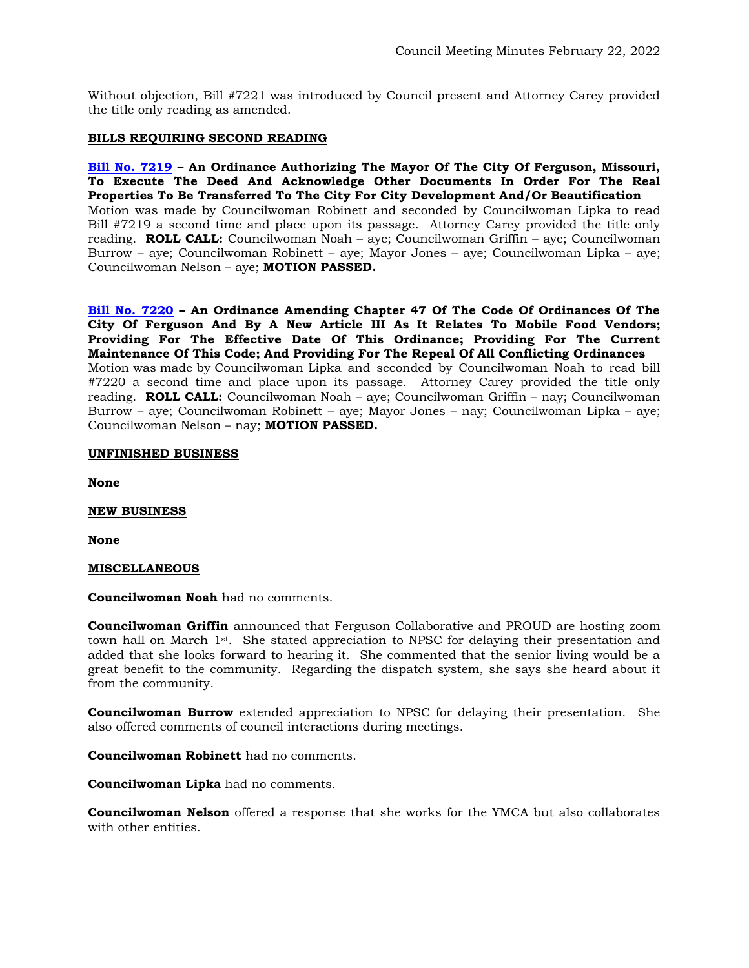Without objection, Bill #7221 was introduced by Council present and Attorney Carey provided the title only reading as amended.

### **BILLS REQUIRING SECOND READING**

**[Bill No. 7219](https://www.fergusoncity.com/DocumentCenter/View/5569/Bill-No-7221-2022-xxxx-Post-third-Property-Acquisition-Ordinance) – An Ordinance Authorizing The Mayor Of The City Of Ferguson, Missouri, To Execute The Deed And Acknowledge Other Documents In Order For The Real Properties To Be Transferred To The City For City Development And/Or Beautification** Motion was made by Councilwoman Robinett and seconded by Councilwoman Lipka to read Bill #7219 a second time and place upon its passage. Attorney Carey provided the title only reading. **ROLL CALL:** Councilwoman Noah – aye; Councilwoman Griffin – aye; Councilwoman Burrow – aye; Councilwoman Robinett – aye; Mayor Jones – aye; Councilwoman Lipka – aye; Councilwoman Nelson – aye; **MOTION PASSED.**

**[Bill No. 7220](https://www.fergusoncity.com/DocumentCenter/View/5568/Bill-No-7220-2022-xxx-Mobile-Food-Truck-Permit) – An Ordinance Amending Chapter 47 Of The Code Of Ordinances Of The City Of Ferguson And By A New Article III As It Relates To Mobile Food Vendors; Providing For The Effective Date Of This Ordinance; Providing For The Current Maintenance Of This Code; And Providing For The Repeal Of All Conflicting Ordinances** Motion was made by Councilwoman Lipka and seconded by Councilwoman Noah to read bill #7220 a second time and place upon its passage. Attorney Carey provided the title only reading. **ROLL CALL:** Councilwoman Noah – aye; Councilwoman Griffin – nay; Councilwoman Burrow – aye; Councilwoman Robinett – aye; Mayor Jones – nay; Councilwoman Lipka – aye; Councilwoman Nelson – nay; **MOTION PASSED.**

#### **UNFINISHED BUSINESS**

**None** 

#### **NEW BUSINESS**

**None** 

#### **MISCELLANEOUS**

**Councilwoman Noah** had no comments.

**Councilwoman Griffin** announced that Ferguson Collaborative and PROUD are hosting zoom town hall on March  $1^{st}$ . She stated appreciation to NPSC for delaying their presentation and added that she looks forward to hearing it. She commented that the senior living would be a great benefit to the community. Regarding the dispatch system, she says she heard about it from the community.

**Councilwoman Burrow** extended appreciation to NPSC for delaying their presentation. She also offered comments of council interactions during meetings.

**Councilwoman Robinett** had no comments.

**Councilwoman Lipka** had no comments.

**Councilwoman Nelson** offered a response that she works for the YMCA but also collaborates with other entities.